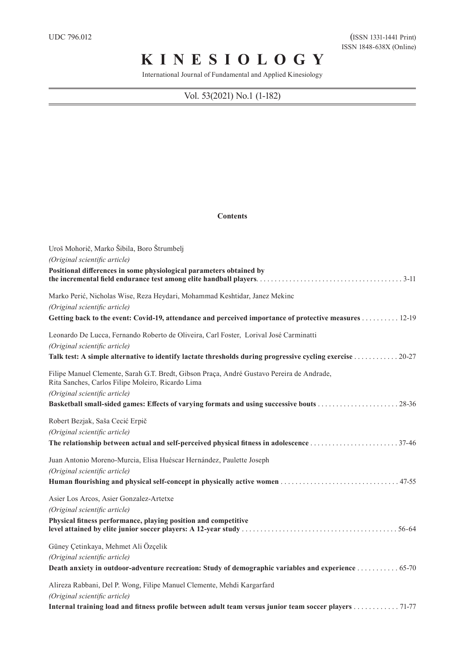## **K I N E S I O L O G Y**

International Journal of Fundamental and Applied Kinesiology

## Vol. 53(2021) No.1 (1-182)

## **Contents**

| Uroš Mohorič, Marko Šibila, Boro Štrumbelj                                                                                                     |
|------------------------------------------------------------------------------------------------------------------------------------------------|
| (Original scientific article)                                                                                                                  |
| Positional differences in some physiological parameters obtained by                                                                            |
| Marko Perić, Nicholas Wise, Reza Heydari, Mohammad Keshtidar, Janez Mekinc                                                                     |
| (Original scientific article)                                                                                                                  |
| Getting back to the event: Covid-19, attendance and perceived importance of protective measures 12-19                                          |
| Leonardo De Lucca, Fernando Roberto de Oliveira, Carl Foster, Lorival José Carminatti<br>(Original scientific article)                         |
| Talk test: A simple alternative to identify lactate thresholds during progressive cycling exercise 20-27                                       |
| Filipe Manuel Clemente, Sarah G.T. Bredt, Gibson Praça, André Gustavo Pereira de Andrade,<br>Rita Sanches, Carlos Filipe Moleiro, Ricardo Lima |
| (Original scientific article)                                                                                                                  |
|                                                                                                                                                |
| Robert Bezjak, Saša Cecić Erpič                                                                                                                |
| (Original scientific article)                                                                                                                  |
|                                                                                                                                                |
| Juan Antonio Moreno-Murcia, Elisa Huéscar Hernández, Paulette Joseph                                                                           |
| (Original scientific article)                                                                                                                  |
|                                                                                                                                                |
| Asier Los Arcos, Asier Gonzalez-Artetxe                                                                                                        |
| (Original scientific article)                                                                                                                  |
| Physical fitness performance, playing position and competitive                                                                                 |
| Güney Çetinkaya, Mehmet Ali Özçelik                                                                                                            |
| (Original scientific article)                                                                                                                  |
| Death anxiety in outdoor-adventure recreation: Study of demographic variables and experience 65-70                                             |
| Alireza Rabbani, Del P. Wong, Filipe Manuel Clemente, Mehdi Kargarfard                                                                         |
| (Original scientific article)                                                                                                                  |
| Internal training load and fitness profile between adult team versus junior team soccer players 71-77                                          |